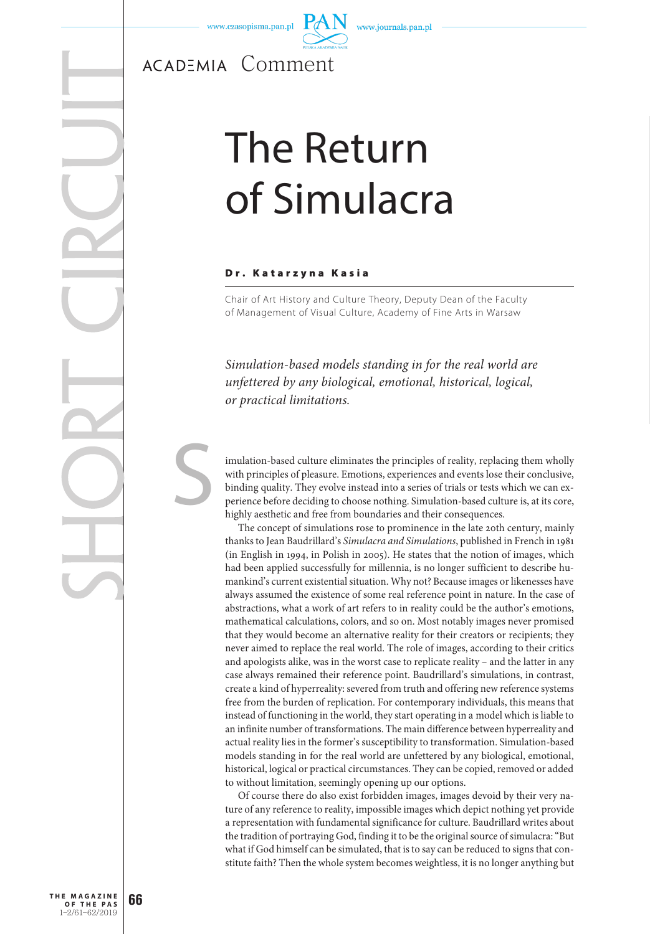

ACADEMIA Comment

S

## The Return of Simulacra

## Dr. Katarzyna Kasia

Chair of Art History and Culture Theory, Deputy Dean of the Faculty of Management of Visual Culture, Academy of Fine Arts in Warsaw

*Simulation-based models standing in for the real world are unfettered by any biological, emotional, historical, logical, or practical limitations.*

imulation-based culture eliminates the principles of reality, replacing them wholly with principles of pleasure. Emotions, experiences and events lose their conclusive, binding quality. They evolve instead into a series of trials or tests which we can experience before deciding to choose nothing. Simulation-based culture is, at its core, highly aesthetic and free from boundaries and their consequences.

The concept of simulations rose to prominence in the late 20th century, mainly thanks to Jean Baudrillard's *Simulacra and Simulations*, published in French in 1981 (in English in 1994, in Polish in 2005). He states that the notion of images, which had been applied successfully for millennia, is no longer sufficient to describe humankind's current existential situation. Why not? Because images or likenesses have always assumed the existence of some real reference point in nature. In the case of abstractions, what a work of art refers to in reality could be the author's emotions, mathematical calculations, colors, and so on. Most notably images never promised that they would become an alternative reality for their creators or recipients; they never aimed to replace the real world. The role of images, according to their critics and apologists alike, was in the worst case to replicate reality – and the latter in any case always remained their reference point. Baudrillard's simulations, in contrast, create a kind of hyperreality: severed from truth and offering new reference systems free from the burden of replication. For contemporary individuals, this means that instead of functioning in the world, they start operating in a model which is liable to an infinite number of transformations. The main difference between hyperreality and actual reality lies in the former's susceptibility to transformation. Simulation-based models standing in for the real world are unfettered by any biological, emotional, historical, logical or practical circumstances. They can be copied, removed or added to without limitation, seemingly opening up our options.

Of course there do also exist forbidden images, images devoid by their very nature of any reference to reality, impossible images which depict nothing yet provide a representation with fundamental significance for culture. Baudrillard writes about the tradition of portraying God, finding it to be the original source of simulacra: "But what if God himself can be simulated, that is to say can be reduced to signs that constitute faith? Then the whole system becomes weightless, it is no longer anything but